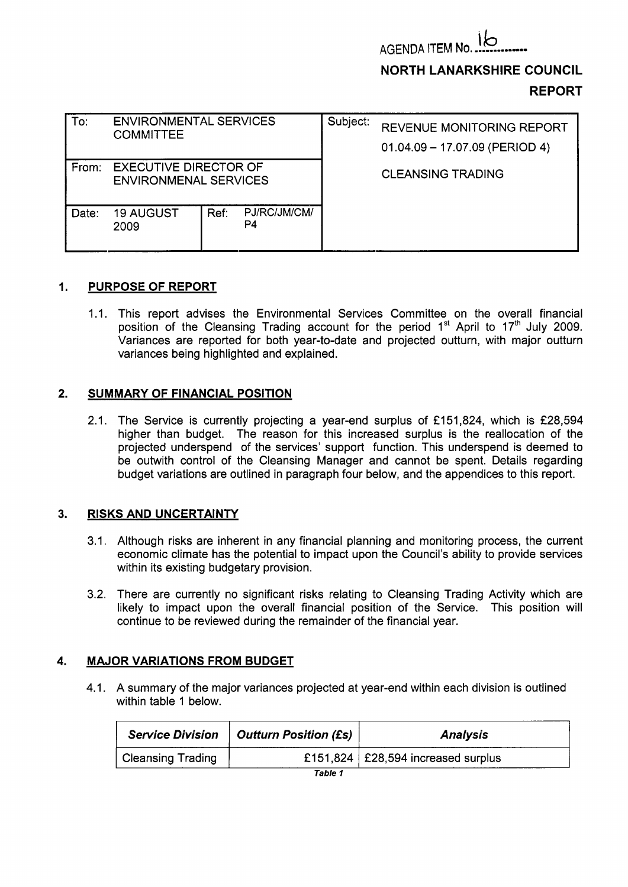**AGENDA ITEM No** 

**NORTH LANARKSHIRE COUNCIL** 

# **REPORT**

| To:   | <b>ENVIRONMENTAL SERVICES</b><br><b>COMMITTEE</b>            |      |                    | Subject: | <b>REVENUE MONITORING REPORT</b><br>$01.04.09 - 17.07.09$ (PERIOD 4) |  |  |
|-------|--------------------------------------------------------------|------|--------------------|----------|----------------------------------------------------------------------|--|--|
| From: | <b>EXECUTIVE DIRECTOR OF</b><br><b>ENVIRONMENAL SERVICES</b> |      |                    |          | <b>CLEANSING TRADING</b>                                             |  |  |
| Date: | <b>19 AUGUST</b><br>2009                                     | Ref: | PJ/RC/JM/CM/<br>P4 |          |                                                                      |  |  |

## **1. PURPOSE OF REPORT**

1.1. This report advises the Environmental Services Committee on the overall financial position of the Cleansing Trading account for the period **1"** April to **17'h** July **2009.**  Variances are reported for both year-to-date and projected outturn, with major outturn variances being highlighted and explained.

## **2. SUMMARY OF FINANCIAL POSITION**

**2.1.** The Service is currently projecting a year-end surplus of **f151,824,** which is **f28,594**  higher than budget. The reason for this increased surplus is the reallocation of the projected underspend of the services' support function. This underspend is deemed to be outwith control of the Cleansing Manager and cannot be spent. Details regarding budget variations are outlined in paragraph four below, and the appendices to this report.

#### **3. RISKS AND UNCERTAINTY**

- **3.1,** Although risks are inherent in any financial planning and monitoring process, the current economic climate has the potential to impact upon the Council's ability to provide services within its existing budgetary provision.
- **3.2.** There are currently no significant risks relating to Cleansing Trading Activity which are likely to impact upon the overall financial position of the Service. This position will continue to be reviewed during the remainder of the financial year.

# **4. MAJOR VARIATIONS FROM BUDGET**

**4.1.** A summary of the major variances projected at year-end within each division is outlined within table **1** below.

| <b>Service Division</b>  | Outturn Position (£s) | <b>Analysis</b>                      |
|--------------------------|-----------------------|--------------------------------------|
| <b>Cleansing Trading</b> |                       | £151,824   £28,594 increased surplus |
|                          | Table 1               |                                      |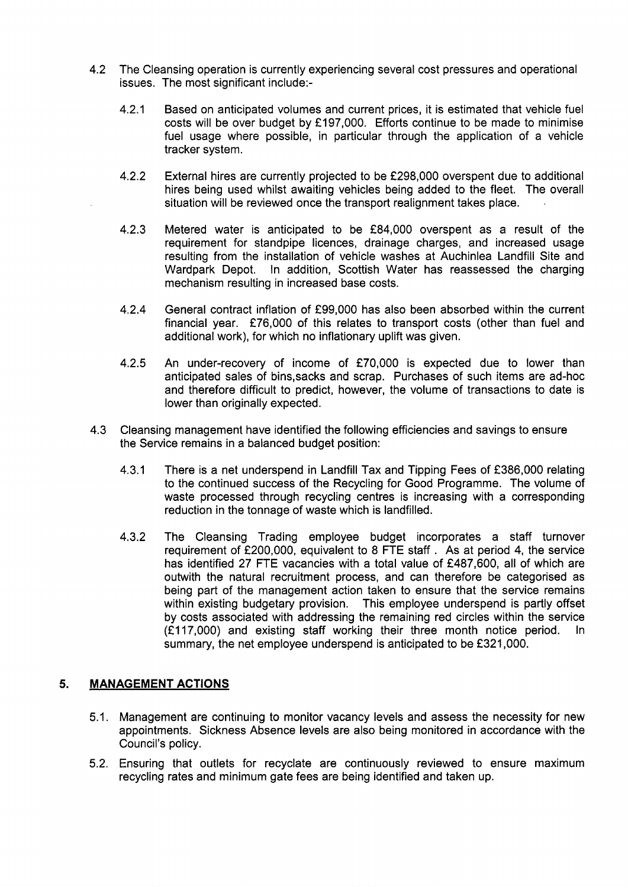- 4.2 The Cleansing operation is currently experiencing several cost pressures and operational issues. The most significant include:-
	- 4.2.1 Based on anticipated volumes and current prices, it is estimated that vehicle fuel costs will be over budget by £197,000. Efforts continue to be made to minimise fuel usage where possible, in particular through the application of a vehicle tracker system.
	- 4.2.2 External hires are currently projected to be f298,OOO overspent due to additional hires being used whilst awaiting vehicles being added to the fleet. The overall situation will be reviewed once the transport realignment takes place.
	- 4.2.3 Metered water is anticipated to be f84,000 overspent as a result of the requirement for standpipe licences, drainage charges, and increased usage resulting from the installation of vehicle washes at Auchinlea Landfill Site and Wardpark Depot. In addition, Scottish Water has reassessed the charging mechanism resulting in increased base costs.
	- 4.2.4 General contract inflation of f99,000 has also been absorbed within the current financial year.  $£76,000$  of this relates to transport costs (other than fuel and additional work), for which no inflationary uplift was given.
	- 4.2.5 An under-recovery of income of £70,000 is expected due to lower than anticipated sales of bins,sacks and scrap. Purchases of such items are ad-hoc and therefore difficult to predict, however, the volume of transactions to date is lower than originally expected.
- 4.3 Cleansing management have identified the following efficiencies and savings to ensure the Service remains in a balanced budget position:
	- 4.3.1 There is a net underspend in Landfill Tax and Tipping Fees of f386,OOO relating to the continued success of the Recycling for Good Programme. The volume of waste processed through recycling centres is increasing with a corresponding reduction in the tonnage of waste which is landfilled.
	- 4.3.2 The Cleansing Trading employee budget incorporates a staff turnover requirement of f200,000, equivalent to 8 FTE staff . As at period 4, the service has identified 27 FTE vacancies with a total value of £487,600, all of which are outwith the natural recruitment process, and can therefore be categorised as being part of the management action taken to ensure that the service remains within existing budgetary provision. This employee underspend is partly offset by costs associated with addressing the remaining red circles within the service  $(E117,000)$  and existing staff working their three month notice period. summary, the net employee underspend is anticipated to be £321,000.

#### **5. MANAGEMENT ACTIONS**

- 5.1. Management are continuing to monitor vacancy levels and assess the necessity for new appointments. Sickness Absence levels are also being monitored in accordance with the Council's policy.
- 5.2. Ensuring that outlets for recyclate are continuously reviewed to ensure maximum recycling rates and minimum gate fees are being identified and taken up.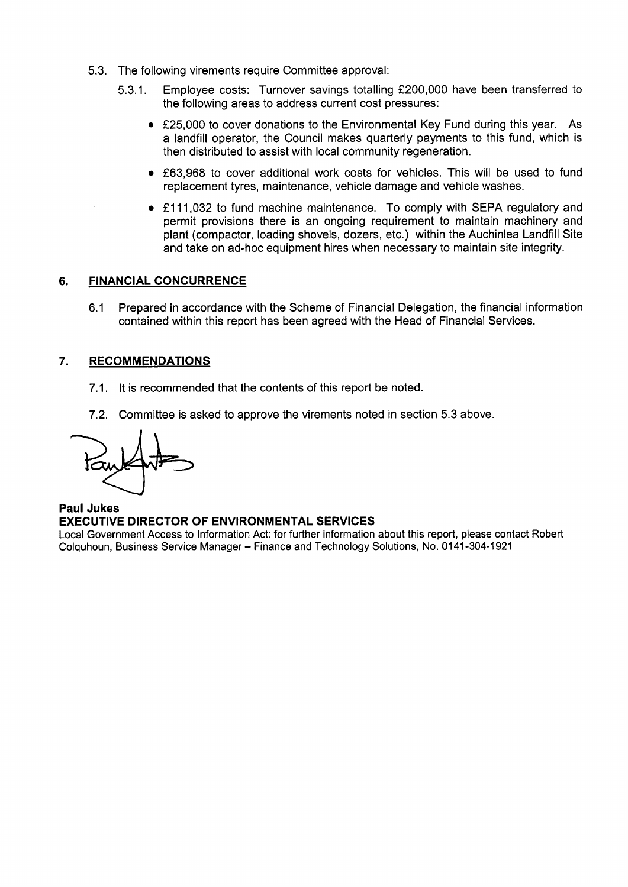- 5.3. The following virements require Committee approval:
	- 5.3.1. Employee costs: Turnover savings totalling f200,OOO have been transferred to the following areas to address current cost pressures:
		- £25,000 to cover donations to the Environmental Key Fund during this year. As a landfill operator, the Council makes quarterly payments to this fund, which is then distributed to assist with local community regeneration.
		- £63,968 to cover additional work costs for vehicles. This will be used to fund replacement tyres, maintenance, vehicle damage and vehicle washes.
		- £111,032 to fund machine maintenance. To comply with SEPA regulatory and permit provisions there is an ongoing requirement to maintain machinery and plant (compactor, loading shovels, dozers, etc.) within the Auchinlea Landfill Site and take on ad-hoc equipment hires when necessary to maintain site integrity.

## **6. FINANCIAL CONCURRENCE**

6.1 Prepared in accordance with the Scheme of Financial Delegation, the financial information contained within this report has been agreed with the Head of Financial Services.

## **7. RECOMMENDATIONS**

- 7.1. It is recommended that the contents of this report be noted.
- 7.2. Committee is asked to approve the virements noted in section 5.3 above.

**Paul Jukes EXECUTIVE DIRECTOR OF ENVIRONMENTAL SERVICES** 

Local Government Access to Information Act: for further information about this report, please contact Robert Colquhoun, Business Service Manager - Finance and Technology Solutions, No. 01 **41 -304-1 921**